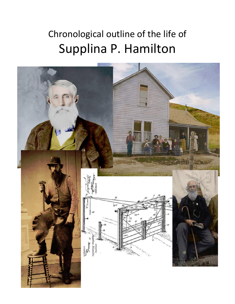# Chronological outline of the life of Supplina P. Hamilton

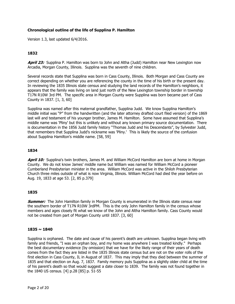# **Chronological outline of the life of Supplina P. Hamilton**

Version 1.3, last updated 6/4/2016.

# **1832**

**April 23:** Supplina P. Hamilton was born to John and Altha (Judd) Hamilton near New Lexington now Arcadia, Morgan County, Illinois. Supplina was the seventh of nine children.

Several records state that Supplina was born in Cass County, Illinois. Both Morgan and Cass County are correct depending on whether you are referencing the county in the time of his birth or the present day. In reviewing the 1835 Illinois state census and studying the land records of the Hamilton's neighbors, it appears that the family was living on land just north of the New Lexington township border in township T17N R10W 3rd PM. The specific area in Morgan County were Supplina was born became part of Cass County in 1837. [1, 3, 60]

Supplina was named after this maternal grandfather, Supplina Judd. We know Supplina Hamilton's middle initial was "P" from the handwritten (and the later attorney drafted court filed version) of the 1869 last will and testament of his younger brother, James M. Hamilton. Some have assumed that Supplina's middle name was 'Pliny' but this is unlikely and without any known primary source documentation. There is documentation in the 1856 Judd family history "Thomas Judd and his Descendants", by Sylvester Judd, that remembers that Supplina Judd's nickname was 'Pliny.' This is likely the source of the confusion about Supplina Hamilton's middle name. [58, 59]

# **1834**

**April 10:** Supplina's twin brothers, James M. and William McCord Hamilton are born at home in Morgan County. We do not know James' middle name but William was named for William McCord a pioneer Cumberland Presbyterian minister in the area. William McCord was active in the Shiloh Presbyterian Church three miles outside of what is now Virginia, Illinois. William McCord had died the year before on Aug. 19, 1833 at age 53. [2, 85 p.379]

# **1835**

**Summer:** The John Hamilton family in Morgan County is enumerated in the Illinois state census near the southern border of T17N R10W 3rdPM. This is the only John Hamilton family in the census whose members and ages closely fit what we know of the John and Altha Hamilton family. Cass County would not be created from part of Morgan County until 1837. [3, 60]

#### **1835 ~ 1840**

Supplina is orphaned. The date and cause of his parent's death are unknown. Supplina began living with family and friends, "I was an orphan boy, and my home was anywhere I was treated kindly." Perhaps the best documentary evidence (by omission) that we have for the likely range of their years of death comes from the fact they are listed in the 1835 Illinois state census but are not on the voter rolls of the first election in Cass County, IL in August of 1837. This may imply that they died between the summer of 1835 and that election on Aug. 7, 1837. Family memory puts Supplina as a slightly older child at the time of his parent's death so that would suggest a date closer to 1839. The family was not found together in the 1840 US census. [4] p.28 [85] p. 51-55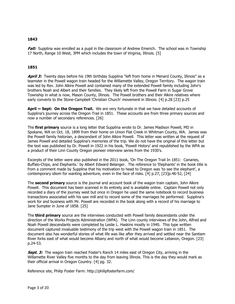**Fall:** Supplina was enrolled as a pupil in the classroom of Andrew Emerich. The school was in Township 17 North, Range 10 West, 3PM which includes the town of Virginia, Illinois. [5]

## **1851**

**April 3:** Twenty days before his 19th birthday Supplina "left from home in Menard County, Illinois" as a teamster in the Powell wagon train headed for the Willamette Valley, Oregon Territory. The wagon train was led by Rev. John Alkire Powell and contained many of the extended Powell family including John's brothers Noah and Albert and their families. They likely left from the Powell Farm in Sugar Grove Township in what is now, Mason County, Illinois. The Powell brothers and their Alkire relatives where early converts to the Stone-Campbell 'Christian Church' movement in Illinois. [4] p.28 [23] p.25

**April ~ Sept: On the Oregon Trail.** We are very fortunate in that we have detailed accounts of Supplina's journey across the Oregon Trail in 1851. These accounts are from three primary sources and now a number of secondary references. [26]

The **first primary** source is a long letter that Supplina wrote to Dr. James Madison Powell, MD in Spokane, WA on Oct. 18, 1899 from their home on Union Flat Creek in Whitman County, WA. James was the Powell family historian, a descendant of John Alkire Powell. This letter was written at the request of James Powell and detailed Supplina's memories of the trip. We do not have the original of this letter but the text was published by Dr. Powell in 1922 in his book, 'Powell History' and republished by the WPA as a product of their Linn County Oregon pioneer interview series from the 1930's.

Excerpts of the letter were also published in the 2011 book, 'On The Oregon Trail In 1851: Canaries, Buffalo-Chips, and Elephants.' by Albert Edward Belanger. The reference to 'Elephants' in the book title is from a comment made by Supplina that his motivation to head to Oregon was 'to see the elephant', a contemporary idiom for wanting adventure, even in the face of risks. [4] p.27, [23]p.46-52, [24]

The **second primary** source is the journal and account book of the wagon train captain, John Alkire Powell. This document has been scanned in its entirety and is available online. Captain Powell not only recorded a diary of the journey west but once in Oregon he used the same notebook to record business transactions associated with his saw mill and to record some of the marriages he performed. Supplina's work for and business with Mr. Powell are recorded in the book along with a record of his marriage to Jane Sumpter in June of 1858. [25]

The **third primary** source are the interviews conducted with Powell family descendants under the direction of the Works Projects Administration (WPA). The Linn county interviews of the John, Alfred and Noah Powell descendants were completed by Leslie L. Haskins mostly in 1940. This type written document captured invaluable testimony of the trip west with the Powell wagon train in 1851. The document also has wonderful stories of what life was like after they arrived and settled near the Santiam River forks east of what would become Albany and north of what would become Lebanon, Oregon. [23] p.24-53.

**Sept. 3:** The wagon train reached Foster's Ranch 14 miles east of Oregon City, arriving in the Willamette River Valley five months to the day from leaving Illinois. This is the day they would mark as their official arrival in Oregon Country. [4] pg. 32.

Reference site, Philip Foster Farm: http://philipfosterfarm.com/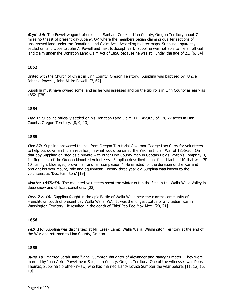**Sept. 16:** The Powell wagon train reached Santiam Creek in Linn County, Oregon Territory about 7 miles northeast of present day Albany, OR where the members began claiming quarter sections of unsurveyed land under the Donation Land Claim Act. According to later maps, Supplina apparently settled on land close to John A. Powell and next to Joseph Earl. Supplina was not able to file an official land claim under the Donation Land Claim Act of 1850 because he was still under the age of 21. [6, 84]

## **1852**

United with the Church of Christ in Linn County, Oregon Territory. Supplina was baptized by "Uncle Johnnie Powell", John Alkire Powell. [7, 67]

Supplina must have owned some land as he was assessed and on the tax rolls in Linn County as early as 1852. [78]

#### **1854**

**Dec 1:** Supplina officially settled on his Donation Land Claim, DLC #2969, of 138.27 acres in Linn County, Oregon Territory. [8, 9, 10]

#### **1855**

*Oct.17:* Supplina answered the call from Oregon Territorial Governor George Law Curry for volunteers to help put down an Indian rebellion, in what would be called the Yakima Indian War of 1855/56. On that day Supplina enlisted as a private with other Linn County men in Captain Davis Layton's Company H, 1st Regiment of the Oregon Mounted Volunteers. Supplina described himself as "blacksmith" that was "5' 10" tall light blue eyes, brown hair and fair complexion." He enlisted for the duration of the war and brought his own mount, rifle and equipment. Twenty-three year old Supplina was known to the volunteers as 'Doc Hamilton.' [19]

**Winter 1855/56:** The mounted volunteers spent the winter out in the field in the Walla Walla Valley in deep snow and difficult conditions. [22]

**Dec. 7**  $\sim$  **10:** Supplina fought in the epic Battle of Walla Walla near the current community of Frenchtown south of present day Walla Walla, WA. It was the longest battle of any Indian war in Washington Territory. It resulted in the death of Chief Peo-Peo-Mox-Mox. [20, 21]

#### **1856**

**Feb. 16:** Supplina was discharged at Mill Creek Camp, Walla Walla, Washington Territory at the end of the War and returned to Linn County, Oregon.

#### **1858**

**June 10:** Married Sarah Jane "Jane" Sumpter, daughter of Alexander and Nancy Sumpter. They were married by John Alkire Powell near Scio, Linn County, Oregon Territory. One of the witnesses was Perry Thomas, Supplina's brother-in-law, who had married Nancy Lovisa Sumpter the year before. [11, 12, 16, 19]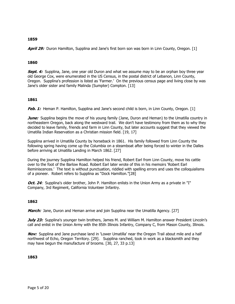**April 29:** Duron Hamilton, Supplina and Jane's first born son was born in Linn County, Oregon. [1]

# **1860**

**Sept. 4:** Supplina, Jane, one year old Duron and what we assume may to be an orphan boy three year old George Cox, were enumerated in the US Census, in the postal district of Lebanon, Linn County, Oregon. Supplina's profession is listed as 'Farmer.' On the previous census page and living close by was Jane's older sister and family Malinda (Sumpter) Compton. [13]

# **1861**

**Feb. 1:** Heman P. Hamilton, Supplina and Jane's second child is born, in Linn County, Oregon. [1]

**June:** Supplina begins the move of his young family (Jane, Duron and Heman) to the Umatilla country in northeastern Oregon, back along the westward trail. We don't have testimony from them as to why they decided to leave family, friends and farm in Linn County, but later accounts suggest that they viewed the Umatilla Indian Reservation as a Christian mission field. [19, 17]

Supplina arrived in Umatilla County by horseback in 1861. His family followed from Linn County the following spring having come up the Columbia on a steamboat after being forced to winter in the Dalles before arriving at Umatilla Landing in March 1862. [27]

During the journey Supplina Hamilton helped his friend, Robert Earl from Linn County, move his cattle over to the foot of the Barlow Road. Robert Earl later wrote of this in his memoirs 'Robert Earl Reminiscences.' The text is without punctuation, riddled with spelling errors and uses the colloquialisms of a pioneer. Robert refers to Supplina as "Dock Hamilton."[28]

*Oct. 24:* Supplina's older brother, John P. Hamilton enlists in the Union Army as a private in "I" Company, 3rd Regiment, California Volunteer Infantry.

# **1862**

**March:** Jane, Duron and Heman arrive and join Supplina near the Umatilla Agency. [27]

**July 23:** Supplina's younger twin brothers, James M. and William M. Hamilton answer President Lincoln's call and enlist in the Union Army with the 85th Illinois Infantry, Company C, from Mason County, Illinois.

**Nov:** Supplina and Jane purchase land in 'Lower Umatilla' near the Oregon Trail about mile and a half northwest of Echo, Oregon Territory. [29]. Supplina ranched, took in work as a blacksmith and they may have begun the manufacture of brooms. [30, 27, 33 p.13]

#### **1863**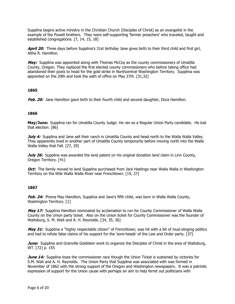Supplina begins active ministry in the Christian Church (Disciples of Christ) as an evangelist in the example of the Powell brothers. They were self-supporting 'farmer preachers' who traveled, taught and established congregations. [7, 14, 15, 18]

**April 20:** Three days before Supplina's 31st birthday Jane gives birth to their third child and first girl, Altha R. Hamilton.

**May:** Supplina was appointed along with Thomas McCoy as the county commissioners of Umatilla County, Oregon. They replaced the first elected county commissioners who before taking office had abandoned their posts to head for the gold strike in Northcentral Washington Territory. Supplina was appointed on the 20th and took the oath of office on May 27th. [31,32]

# **1865**

**Feb. 20:** Jane Hamilton gave birth to their fourth child and second daughter, Dora Hamilton.

#### **1866**

**May/June:** Supplina ran for Umatilla County Judge. He ran as a Regular Union Party candidate. He lost that election. [86]

**July 4:** Supplina and Jane sell their ranch in Umatilla County and head north to the Walla Walla Valley. They apparently lived in another part of Umatilla County temporarily before moving north into the Walla Walla Valley that Fall. [27, 29]

**July 26:** Supplina was awarded the land patent on his original donation land claim in Linn County, Oregon Territory. [41]

**Oct:** The family moved to land Supplina purchased from Jack Hastings near Walla Walla in Washington Territory on the little Walla Walla River near Frenchtown. [19, 27]

# **1867**

**Feb. 24:** Pirena May Hamilton, Supplina and Jane's fifth child, was born in Walla Walla County, Washington Territory. [1]

**May 17:** Supplina Hamilton nominated by acclamation to run for County Commissioner of Walla Walla County on the Union party ticket. Also on the Union ticket for County Commissioner was the founder of Waitsburg, S. M. Wait and A. H. Reynolds. [34, 35, 36]

**May 31:** Supplina a "highly respectable citizen" of Frenchtown, was hit with a bit of mud-slinging politics and had to refute false claims of his support for the 'sore-heads' of the Law and Order party. [37]

**June:** Supplina and Granville Goldstein work to organize the Disciples of Christ in the area of Waitsburg, WT. [72] p. 155

**June 14:** Supplina loses the commissioner race though the Union Ticket is sustained by victories for S.M. Wait and A. H. Reynolds. The Union Party that Supplina was associated with was formed in November of 1862 with the strong support of the Oregon and Washington newspapers. It was a patriotic expression of support for the Union cause with perhaps an aim to help ferret out politicians with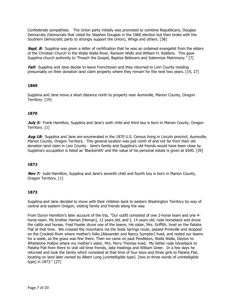Confederate sympathies. The Union party initially was promoted to combine Republicans, Douglas Democrats (Democrats that voted for Stephen Douglas in the 1860 election but then broke with the Southern Democratic party to strongly support the Union), Whigs and others. [38]

**Sept. 8:** Supplina was given a letter of certification that he was an ordained evangelist from the elders of the Christian Church in the Walla Walla River, Ransom Wells and William H. Robbins. This gave Supplina church authority to "Preach the Gospel, Baptize Believers and Solemnize Matrimony." [7]

**Fall:** Supplina and Jane decide to leave Frenchtown and they returned to Linn County residing presumably on their donation land claim property where they remain for the next two years. [19, 27]

# **1869**

Supplina and Jane move a short distance north to property near Aumsville, Marion County, Oregon Territory. [19]

# **1870**

**July 5:** Frank Hamilton, Supplina and Jane's sixth child and third boy is born in Marion County, Oregon Territory. [1]

**Aug 18:** Supplina and Jane are enumerated in the 1870 U.S. Census living in Lincoln precinct, Aumsville, Marion County, Oregon Territory. This general location was just north of and not far from their old donation land claim in Linn County. Jane's family and Supplina's old friends would have been close by. Supplina's occupation is listed as 'Blacksmith' and the value of his personal estate is given at \$500. [39]

# **1872**

**Nov 7:** Judd Hamilton, Supplina and Jane's seventh child and fourth boy is born in Marion County, Oregon Territory. [1]

# **1873**

Supplina and Jane decided to move with their children back to eastern Washington Territory by way of central and eastern Oregon, visiting family and friends along the way.

From Duron Hamilton's later account of the trip, "Our outfit consisted of one 2-horse team and one 4 horse team. My brother Haman [Heman], 12 years old, and I, 14 years old, rode horseback and drove the cattle and horses. Fred Fowler drove one of the teams. His sister, Mrs. Griffith, lived on the Pataha Flat at that time. We crossed the mountains via the Soda Springs route, passed Prineville and stopped on the Crooked River where mother's folks [Alexander and Nancy Sumpter] lived, and rested our teams for a week, as the grass was fine there. Then we came on past Pendleton, Walla Walla, Dayton to Whetstone Hollow where my mother's sister, Mrs. Perry Thomas lived. My father rode horseback to Pataha Flat from there to visit old-time friends, Jake Hastings and William Greer. In a few days he returned and took the family which consisted at that time of four boys and three girls to Pataha Flat, locating on land later owned by Albert Long [unintelligible type]. [two or three words of unintelligible type] in 1873." [27]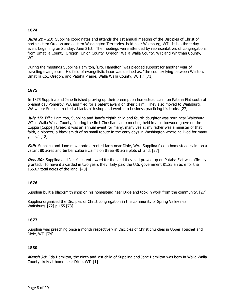**June 21 - 23:** Supplina coordinates and attends the 1st annual meeting of the Disciples of Christ of northeastern Oregon and eastern Washington Territories, held near Waitsburg, WT. It is a three day event beginning on Sunday, June 21st. The meetings were attended by representatives of congregations from Umatilla County, Oregon; Union County, Oregon; Walla Walla County, WT; and Whitman County, WT.

During the meetings Supplina Hamilton, 'Bro. Hamelton' was pledged support for another year of traveling evangelism. His field of evangelistic labor was defined as, "the country lying between Weston, Umatilla Co., Oregon, and Pataha Prairie, Walla Walla County, W. T." [71]

#### **1875**

In 1875 Supplina and Jane finished proving up their preemption homestead claim on Pataha Flat south of present day Pomeroy, WA and filed for a patent award on their claim. They also moved to Waitsburg, WA where Supplina rented a blacksmith shop and went into business practicing his trade. [27]

**July 15:** Effie Hamilton, Supplina and Jane's eighth child and fourth daughter was born near Waitsburg, WT in Walla Walla County, "during the first Christian camp meeting held in a cottonwood grove on the Coppia [Coppei] Creek, it was an annual event for many, many years; my father was a minister of that faith, a pioneer, a black smith of no small repute in the early days in Washington where he lived for many years." [18]

**Fall:** Supplina and Jane move onto a rented farm near Dixie, WA. Supplina filed a homestead claim on a vacant 80 acres and timber culture claims on three 40 acre plots of land. [27]

**Dec. 30:** Supplina and Jane's patent award for the land they had proved up on Pataha Flat was officially granted. To have it awarded in two years they likely paid the U.S. government \$1.25 an acre for the 165.67 total acres of the land. [40]

#### **1876**

Supplina built a blacksmith shop on his homestead near Dixie and took in work from the community. [27]

Supplina organized the Disciples of Christ congregation in the community of Spring Valley near Waitsburg. [72] p.155 [73]

#### **1877**

Supplina was preaching once a month respectively in Disciples of Christ churches in Upper Touchet and Dixie, WT. [74]

#### **1880**

**March 30:** Ida Hamilton, the ninth and last child of Supplina and Jane Hamilton was born in Walla Walla County likely at home near Dixie, WT. [1]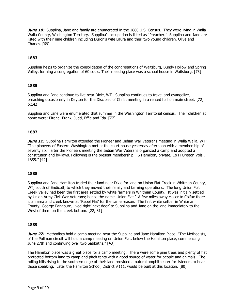**June 19:** Supplina, Jane and family are enumerated in the 1880 U.S. Census. They were living in Walla Walla County, Washington Territory. Supplina's occupation is listed as "Preacher." Supplina and Jane are listed with their nine children including Duron's wife Laura and their two young children, Olive and Charles. [69]

# **1883**

Supplina helps to organize the consolidation of the congregations of Waitsburg, Bundy Hollow and Spring Valley, forming a congregation of 60 souls. Their meeting place was a school house in Waitsburg. [73]

# **1885**

Supplina and Jane continue to live near Dixie, WT. Supplina continues to travel and evangelize, preaching occasionally in Dayton for the Disciples of Christ meeting in a rented hall on main street. [72] p.142

Supplina and Jane were enumerated that summer in the Washington Territorial census. Their children at home were; Pirena, Frank, Judd, Effie and Ida. [77]

#### **1887**

**June 11:** Supplina Hamilton attended the Pioneer and Indian War Veterans meeting in Walla Walla, WT; "The pioneers of Eastern Washington met at the court house yesterday afternoon with a membership of seventy six… after the Pioneers meeting the Indian War Veterans organized a camp and adopted a constitution and by-laws. Following is the present membership… S Hamilton, private, Co H Oregon Vols., 1855." [42]

# **1888**

Supplina and Jane Hamilton traded their land near Dixie for land on Union Flat Creek in Whitman County, WT, south of Endicott, to which they moved their family and farming operations. The long Union Flat Creek Valley had been the first area settled by white farmers in Whitman County. It was initially settled by Union Army Civil War Veterans; hence the name 'Union Flat.' A few miles away closer to Colfax there is an area and creek known as 'Rebel Flat' for the same reason. The first white settler in Whitman County, George Pangburn, lived right 'next door' to Supplina and Jane on the land immediately to the West of them on the creek bottom. [22, 81]

#### **1889**

**June 27:** Methodists hold a camp meeting near the Supplina and Jane Hamilton Place; "The Methodists, of the Pullman circuit will hold a camp meeting on Union Flat, below the Hamilton place, commencing June 27th and continuing over two Sabbaths." [43].

The Hamilton place was a great place for a camp meeting. There were some pine trees and plenty of flat protected bottom land to camp and pitch tents with a good source of water for people and animals. The rolling hills rising to the southern edge of their land provided a natural amphitheater for listeners to hear those speaking. Later the Hamilton School, District #111, would be built at this location. [80]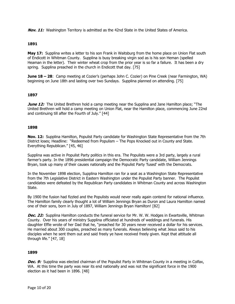**Nov. 11:** Washington Territory is admitted as the 42nd State in the United States of America.

# **1891**

**May 17:** Supplina writes a letter to his son Frank in Waitsburg from the home place on Union Flat south of Endicott in Whitman County. Supplina is busy breaking virgin sod as is his son Heman (spelled Heaman in the letter). Their winter wheat crop from the prior year is so far a failure. It has been a dry spring. Supplina preached in the church in Endicott that day. [75]

**June 18 – 28**: Camp meeting at Cozier's (perhaps John C. Cozier) on Pine Creek (near Farmington, WA) beginning on June 18th and lasting over two Sundays. Supplina planned on attending. [75]

# **1897**

**June 12:** The United Brethren hold a camp meeting near the Supplina and Jane Hamilton place; "The United Brethren will hold a camp meeting on Union Flat, near the Hamilton place, commencing June 22nd and continuing till after the Fourth of July." [44]

# **1898**

**Nov. 12:** Supplina Hamilton, Populist Party candidate for Washington State Representative from the 7th District loses; Headline: "Redeemed from Populism – The Pops Knocked out in County and State. Everything Republican." [45, 46]

Supplina was active in Populist Party politics in this era. The Populists were a 3rd party, largely a rural farmer's party. In the 1896 presidential campaign the Democratic Party candidate, William Jennings Bryan, took up many of their causes nationally and the Populist Party 'fused' with the Democrats.

In the November 1898 election, Supplina Hamilton ran for a seat as a Washington State Representative from the 7th Legislative District in Eastern Washington under the Populist Party banner. The Populist candidates were defeated by the Republican Party candidates in Whitman County and across Washington State.

By 1900 the fusion had fizzled and the Populists would never really again contend for national influence. The Hamilton family clearly thought a lot of William Jennings Bryan as Duron and Laura Hamilton named one of their sons, born in July of 1897, William Jennings Bryan Hamilton! [82]

**Dec. 22:** Supplina Hamilton conducts the funeral service for Mr. W. W. Hodges in Ewartsville, Whitman County. Over his years of ministry Supplina officiated at hundreds of weddings and funerals. His daughter Effie wrote of her Dad that he, "preached for 30 years never received a dollar for his services. He married about 300 couples, preached as many funerals. Always believing what Jesus said to his disciples when he sent them out and said freely ye have received freely given. Kept that attitude all through life." [47, 18]

# **1899**

**Dec. 9:** Supplina was elected chairman of the Populist Party in Whitman County in a meeting in Colfax, WA. At this time the party was near its end nationally and was not the significant force in the 1900 election as it had been in 1896. [48]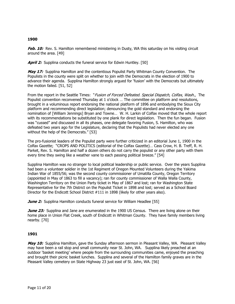**Feb. 10:** Rev. S. Hamilton remembered ministering in Dusty, WA this saturday on his visiting circuit around the area. [49]

**April 2:** Supplina conducts the funeral service for Edwin Huntley. [50]

**May 17:** Supplina Hamilton and the contentious Populist Party Whitman County Convention. The Populists in the county were split on whether to join with the Democrats in the election of 1900 to advance their agenda. Supplina Hamilton strongly argued for 'fusion' with the Democrats but ultimately the motion failed. [51, 52]

From the report in the Seattle Times: "Fusion of Forced Defeated. Special Dispatch, Colfax, Wash., The Populist convention reconvened Thursday at 1 o'clock … The committee on platform and resolutions, brought in a voluminous report endorsing the national platform of 1896 and embodying the Sioux City platform and recommending direct legislation; denouncing the gold standard and endorsing the nomination of [William Jennings] Bryan and Towne… W. H. Larkin of Colfax moved that the whole report with its recommendations be substituted by one plank for direct legislation. Then the fun began. Fusion was "cussed" and discussed in all its phases, one delegate favoring Fusion, S. Hamilton, who was defeated two years ago for the Legislature, declaring that the Populists had never elected any one without the help of the Democrats." [53]

The pro-fusionist leaders of the Populist party were further criticized in an editorial June 1, 1900 in the Colfax Gazette; "CROPS AND POLITICS (editorial of the Colfax Gazette)… Cass Crow, H. B. Treff, R. H. Parket, Rev. S. Hamilton and half a dozen others do not carry the populist or any other party with them every time they swing like a weather vane to each passing political breeze." [54]

Supplina Hamilton was no stranger to local political leadership or public service. Over the years Supplina had been a volunteer soldier in the 1st Regiment of Oregon Mounted Volunteers during the Yakima Indian War of 1855/56; was the second county commissioner of Umatilla County, Oregon Territory (appointed in May of 1863 to fill a vacancy); ran for county commissioner of Walla Walla County, Washington Territory on the Union Party ticket in May of 1867 and lost; ran for Washington State Representative for the 7th District on the Populist Ticket in 1898 and lost; served as a School Board Director for the Endicott School District #111 in 1898 (likely for other years also).

**June 2:** Supplina Hamilton conducts funeral service for William Headlee [55]

**June 23:** Supplina and Jane are enumerated in the 1900 US Census. There are living alone on their home place in Union Flat Creek, south of Endicott in Whitman County. They have family members living nearby. [70]

# **1901**

**May 10:** Supplina Hamilton, gave the Sunday afternoon sermon in Pleasant Valley, WA. Pleasant Valley may have been a rail stop and small community near St. John, WA. Supplina likely preached at an outdoor 'basket meeting' where people from the surrounding communities came, enjoyed the preaching and brought their picnic basket lunches. Supplina and several of the Hamilton family graves are in the Pleasant Valley cemetery on State Highway 23 just east of St. John, WA. [56]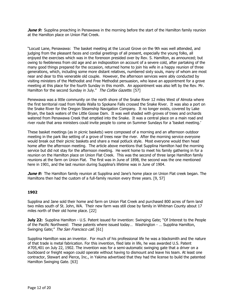**June 9:** Supplina preaching in Penawawa in the morning before the start of the Hamilton family reunion at the Hamilton place on Union Flat Creek.

"Locust Lane, Penawawa: The basket meeting at the Locust Grove on the 9th was well attended, and judging from the pleasant faces and cordial greetings of all present, especially the young folks, all enjoyed the exercises which was in the forenoon presided over by Rev. S. Hamilton, as announced; but owing to feebleness from old age and an indisposition on account of a severe cold, after partaking of the many good things prepared for the occasion, returned home to join his wife in a happy reunion of three generations, which, including some more distant relatives, numbered sixty souls, many of whom are most near and dear to this venerable old couple. However, the afternoon services were ably conducted by visiting ministers of the Methodist and Free Methodist persuasion, who leave an appointment for a grove meeting at this place for the fourth Sunday in this month. An appointment was also left by the Rev. Mr. Hamilton for the second Sunday in July." The Colfax Gazette. [57]

Penewawa was a little community on the north shore of the Snake River 12 miles West of Almota where the first territorial road from Walla Walla to Spokane Falls crossed the Snake River. It was also a port on the Snake River for the Oregon Steamship Navigation Company. It no longer exists, covered by Lake Bryan, the back waters of the Little Goose Dam. It was well shaded with groves of trees and orchards watered from Penawawa Creek that emptied into the Snake. It was a central place on a main road and river route that area ministers could invite people to come on Summer Sundays for a 'basket meeting.'

These basket meetings (as in picnic baskets) were composed of a morning and an afternoon outdoor meeting in the park like setting of a grove of trees near the river. After the morning service everyone would break out their picnic baskets and share a meal potluck style. Most everyone would then head home after the afternoon meeting. The article above mentions that Supplina Hamilton had the morning service but did not stay for the afternoon meeting. He went home to meet his family gathering in for a reunion on the Hamilton place on Union Flat Creek. This was the second of three large Hamilton family reunions at the farm on Union Flat. The first was in June of 1898, the second was the one mentioned here in 1901, and the last reunion during Supplina's lifetime was in June of 1904.

**June 9:** The Hamilton family reunion at Supplina and Jane's home place on Union Flat creek began. The Hamiltons then had the custom of a full-family reunion every three years. [9, 57]

# **1902**

Supplina and Jane sold their home and farm on Union Flat Creek and purchased 800 acres of farm land two miles south of St. John, WA. Their new farm was still close by family in Whitman County about 17 miles north of their old home place. [22]

**July 22:** Supplina Hamilton - U.S. Patent issued for invention: Swinging Gate; "Of Interest to the People of the Pacific Northwest: These patents where issued today… Washington - … Supplina Hamilton, Swinging Gate;" The San Francisco call. [61]

Supplina Hamilton was an inventor. For much of his professional life he was a blacksmith and the nature of that trade is metal fabrication. For this invention, filed late in life, he was awarded U.S. Patent #705,401 on July 22, 1902. The invention was for a semi-automatic swinging gate that a driver on a buckboard or freight wagon could operate without having to dismount and leave his team. At least one contractor, Stewart and Pierce, Inc., in Yakima advertised that they had the license to build the patented Hamilton Swinging Gate. [63]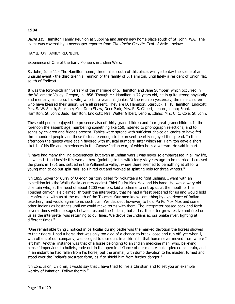**June 11:** Hamilton Family Reunion at Supplina and Jane's new home place south of St. John, WA. The event was covered by a newspaper reporter from The Colfax Gazette. Text of Article below:

HAMILTON FAMILY REUNION.

Experience of One of the Early Pioneers in Indian Wars.

St. John, June 11 - The Hamilton home, three miles south of this place, was yesterday the scene of an unusual event - the third triennial reunion of the family of S. Hamilton, until lately a resident of Union flat, south of Endicott.

It was the forty-sixth anniversary of the marriage of S. Hamilton and Jane Sumpter, which occurred in the Willamette Valley, Oregon, in 1858. Though Mr. Hamilton is 72 years old, he in quite strong physically and mentally, as is also his wife, who is six years his junior. At the reunion yesterday, the nine children who have blessed their union, were all present. They are D. Hamilton, Starbuck; H. P. Hamilton, Endicott; Mrs. S. W. Smith, Spokane; Mrs. Dora Shaw, Deer Park; Mrs. S. S. Gilbert, Lenore, ldaho; Frank Hamilton, St. John; Judd Hamilton, Endicott; Mrs. Walter Gilbert, Lenore, Idaho: Mrs. C. C. Cole, St. John.

These old people enjoyed the presence also of thirty grandchildren and four great grandchildren. In the forenoon the assemblage, numbering something like 150, listened to phonograph selections, and to songs by children and friends present. Tables were spread with sufficient choice delicacies to have fed three hundred people and those fortunate enough to be present heartily enjoyed the spread. In the afternoon the guests were again favored with musical numbers, after which Mr. Hamilton gave a short sketch of his life and experiences in the Cayuse Indian war, of which he is a veteran. He said in part:

"I have had many thrilling experiences, but even in Indian wars I was never so embarrassed in all my life, as when I stood beside this woman here (pointing to his wife) forty six years ago to be married. I crossed the plains in 1851 and settled in the Willamette valley, where there seemed to be nothing at all for a young man to do but split rails, so I hired out and worked at splitting rails for three winters."

"In 1855 Governor Curry of Oregon territory called for volunteers to fight Indians. I went with an expedition into the Walla Walla country against Chief Pu Pu Mox Mox and his band. He was a wary old chieftain who, at the head of about 1200 warriors, laid a scheme to entrap us at the mouth of the Touchet canyon. He claimed, through the interpreter, that he had a feast prepared for us and would hold a conference with us at the mouth of the Touchet. Our men knew something by experience of Indian treachery, and would agree to no such plan. We decided, however, to hold Pu Pu Mox Mox and some other Indians as hostages until we could make terms with them. The interpreter passed back and forth several times with messages between us and the Indians, but at last the latter grew restive and fired on us as the interpreter was returning to our lines. We drove the Indians across Snake river, fighting at different times."

"One remarkable thing I noticed in particular during battle was the marked devotion the horses showed to their riders. I had a horse that was only too glad of a chance to break loose and run off, yet when I, with others of our company, was obliged to dismount in a skirmish, that horse never moved from where I left him. Another instance was that of a horse belonging to an Indian medicine man, who, believing himself impervious to bullets, rode out in the open in defiance of our men. A bullet pierced his brain, and in an instant he had fallen from his horse, but the animal, with dumb devotion to his master, turned and stood over the Indian's prostrate form, as if to shield him from further danger."

"In conclusion, children, I would say that I have tried to live a Christian and to set you an example worthy of imitation. Follow therein."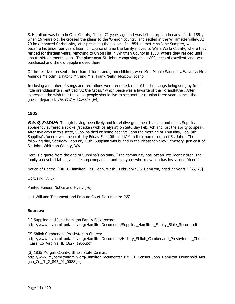S. Hamilton was born in Cass County, Illinois 72 years ago and was left an orphan in early life. In 1851, when 19 years old, he crossed the plains to the 'Oregon country' and settled in the Willamette valley. At 20 he embraced Christianity, later preaching the gospel. In 1854 be met Miss Jane Sumpter, who became his bride four years later. In course of time the family moved to Walla Walla County, where they resided for thirteen years, removing to Union Flat in Whitman County in 1888, where they resided until about thirteen months ago. The place near St. John, comprising about 800 acres of excellent land, was purchased and the old people moved there.

Of the relatives present other than children and grandchildren, were Mrs. Minnie Saunders, Waverly; Mrs. Amanda Malcolm, Dayton; Mr. and Mrs. Frank Neilly, Moscow, Idaho.

In closing a number of songs and recitations were rendered, one of the last songs being sung by four little granddaughters, entitled "At the Cross," which piece was a favorite of their grandfather. After expressing the wish that these old people should live to see another reunion three years hence, the guests departed. The Colfax Gazette. [64]

# **1905**

**Feb. 9, 7:15AM:** Though having been lively and in relative good health and sound mind, Supplina apparently suffered a stroke ('stricken with paralysis') on Saturday Feb. 4th and lost the ability to speak. After five days in this state, Supplina died at home near St. John the morning of Thursday, Feb. 9th. Supplina's funeral was the next day Friday Feb 10th at 11AM in their home south of St. John. The following day, Saturday February 11th, Supplina was buried in the Pleasant Valley Cemetery, just east of St. John, Whitman County, WA.

Here is a quote from the end of Supplina's obituary, "The community has lost an intelligent citizen, the family a devoted father, and lifelong companion, and everyone who knew him has lost a kind friend."

Notice of Death: "DIED. Hamilton – St. John, Wash., February 9, S. Hamilton, aged 72 years." [66, 76]

Obituary: [7, 67]

Printed Funeral Notice and Flyer: [76]

Last Will and Testament and Probate Court Documents: [65]

#### **Sources:**

[1] Supplina and Jane Hamilton Family Bible record: http://www.myhamiltonfamily.org/HamiltonDocuments/Supplina\_Hamilton\_Family\_Bible\_Record.pdf

[2] Shiloh Cumberland Presbyterian Church: http://www.myhamiltonfamily.org/HamiltonDocuments/History\_Shiloh\_Cumberland\_Presbyterian\_Church \_Cass\_Co\_Virginia\_IL\_1827\_1955.pdf

[3] 1835 Morgan County, Illinois State Census: http://www.myhamiltonfamily.org/HamiltonDocuments/1835 IL Census John Hamilton Household Mor gan\_Co\_IL\_2\_84B\_01\_0088.jpg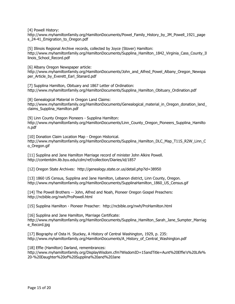[4] Powell History:

http://www.myhamiltonfamily.org/HamiltonDocuments/Powel\_Family\_History\_by\_JM\_Powell\_1921\_page s 24-41 Emigration to Oregon.pdf

[5] Illinois Regional Archive records, collected by Joyce (Stover) Hamilton: http://www.myhamiltonfamily.org/HamiltonDocuments/Supplina Hamilton 1842 Virginia Cass County Il linois\_School\_Record.pdf

[6] Albany Oregon Newspaper article: http://www.myhamiltonfamily.org/HamiltonDocuments/John\_and\_Alfred\_Powel\_Albany\_Oregon\_Newspa per Article by Everett Earl Stanard.pdf

[7] Supplina Hamilton, Obituary and 1867 Letter of Ordination: http://www.myhamiltonfamily.org/HamiltonDocuments/Supplina\_Hamilton\_Obituary\_Ordination.pdf

[8] Genealogical Material in Oregon Land Claims: http://www.myhamiltonfamily.org/HamiltonDocuments/Genealogical material in Oregon donation land claims\_Supplina\_Hamilton.pdf

[9] Linn County Oregon Pioneers - Supplina Hamilton: http://www.myhamiltonfamily.org/HamiltonDocuments/Linn\_County\_Oregon\_Pioneers\_Supplina\_Hamilto n.pdf

[10] Donation Claim Location Map - Oregon Historical. http://www.myhamiltonfamily.org/HamiltonDocuments/Supplina\_Hamilton\_DLC\_Map\_T11S\_R2W\_Linn\_C o\_Oregon.gif

[11] Supplina and Jane Hamilton Marriage record of minister John Alkire Powell. http://contentdm.lib.byu.edu/cdm/ref/collection/Diaries/id/1857

[12] Oregon State Archives: http://genealogy.state.or.us/detail.php?id=38950

[13] 1860 US Census, Supplina and Jane Hamilton, Lebanon district, Linn County, Oregon. http://www.myhamiltonfamily.org/HamiltonDocuments/SupplinaHamilton\_1860\_US\_Census.gif

[14] The Powell Brothers -- John, Alfred and Noah, Pioneer Oregon Gospel Preachers: http://ncbible.org/nwh/ProPowell.html

[15] Supplina Hamilton - Pioneer Preacher: http://ncbible.org/nwh/ProHamilton.html

[16] Supplina and Jane Hamilton, Marriage Certificate: http://www.myhamiltonfamily.org/HamiltonDocuments/Supplina\_Hamilton\_Sarah\_Jane\_Sumpter\_Marriag e\_Record.jpg

[17] Biography of Osta H. Stuckey, A History of Central Washington, 1929, p. 235: http://www.myhamiltonfamily.org/HamiltonDocuments/A\_History\_of\_Central\_Washington.pdf

[18] Effie (Hamilton) Darland, remembrances:

http://www.myhamiltonfamily.org/DisplayWisdom.cfm?WisdomID=15andTitle=Aunt%20Effie's%20Life% 20-%20Daughter%20of%20Supplina%20and%20Jane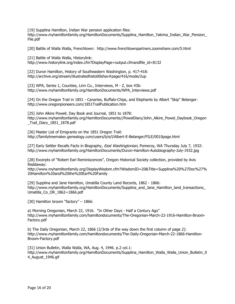[19] Supplina Hamilton, Indian War pension application files:

http://www.myhamiltonfamily.org/HamiltonDocuments/Supplina\_Hamilton\_Yakima\_Indian\_War\_Pension\_ File.pdf

[20] Battle of Walla Walla, Frenchtown: http://www.frenchtownpartners.zoomshare.com/5.html

[21] Battle of Walla Walla, Historylink:

http://www.historylink.org/index.cfm?DisplayPage=output.cfmandfile\_id=8132

[22] Duron Hamilton, History of Southeastern Washington, p. 417-418: http://archive.org/stream/illustratedhisto00shav#page/416/mode/2up

[23] WPA, Series 1, Counties, Linn Co., Interviews, M - Z, box 43b: http://www.myhamiltonfamily.org/HamiltonDocuments/WPA\_Interviews.pdf

[24] On the Oregon Trail in 1851 - Canaries, Buffalo-Chips, and Elephants by Albert "Skip" Belanger: http://www.oregonpioneers.com/1851TrailPublication.htm

[25] John Alkire Powell, Day Book and Journal, 1851 to 1878: http://www.myhamiltonfamily.org/HamiltonDocuments//PowelDiary/John\_Alkire\_Powel\_Daybook\_Oregon Trail Diary 1851 1878.pdf

[26] Master List of Emigrants on the 1851 Oregon Trail: http://familytreemaker.genealogy.com/users/b/e/l/Albert-E-Belanger/FILE/0010page.html

[27] Early Settler Recalls Facts in Biography, East Washingtonian, Pomeroy, WA Thursday July 7, 1932: http://www.myhamiltonfamily.org/HamiltonDocuments/Duron-Hamilton-Autobiography-July-1932.jpg

[28] Excerpts of "Robert Earl Reminiscences", Oregon Historical Society collection, provided by Avis Reddaway:

http://www.myhamiltonfamily.org/DisplayWisdom.cfm?WisdomID=20&Title=Supplina%20%27Doc%27% 20Hamilton%20and%20the%20Earl%20Family

[29] Supplina and Jane Hamilton, Umatilla County Land Records, 1862 - 1866: http://www.myhamiltonfamily.org/HamiltonDocuments/Supplina\_and\_Jane\_Hamilton\_land\_transactions\_ Umatilla\_Co\_OR\_1862~1866.pdf

[30] Hamilton broom "factory" - 1866:

a) Morning Oregonian, March 22, 1916. "In Other Days - Half a Century Ago" http://www.myhamiltonfamily.com/hamiltondocuments/The-Oregonian-March-22-1916-Hamilton-Broom-Factory.pdf

b) The Daily Oregonian, March 22, 1866 (2/3rds of the way down the first column of page 2): http://www.myhamiltonfamily.com/hamiltondocuments/The-Daily-Oregonian-March-22-1866-Hamilton-Broom-Factory.pdf

[31] Union Bulletin, Walla Walla, WA, Aug. 4, 1946. p.2 col.1: http://www.myhamiltonfamily.org/HamiltonDocuments/Supplina Hamilton Walla Walla Union Bulletin 0 4\_August\_1946.gif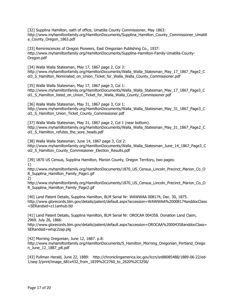[32] Supplina Hamilton, oath of office, Umatilla County Commissioner, May 1863: http://www.myhamiltonfamily.org/HamiltonDocuments/Supplina\_Hamilton\_County\_Commissioner\_Umatill a County Oregon 1863.pdf

[33] Reminiscences of Oregon Pioneers, East Oregonian Publishing Co., 1937: http://www.myhamiltonfamily.org/HamiltonDocuments/Supplina-Hamilton-Family-Umatilla-County-Oregon.pdf

[34] Walla Walla Statesman, May 17, 1867 page 2, Col 3: http://www.myhamiltonfamily.org/HamiltonDocuments/Walla\_Walla\_Statesman\_May\_17\_1867\_Page2\_C ol3 S Hamilton Nominated on Union Ticket for Walla Walla County Commissioner.pdf

[35] Walla Walla Statesman, May 17, 1867 page 3, Col 1: http://www.myhamiltonfamily.org/HamiltonDocuments/Walla\_Walla\_Statesman\_May\_17\_1867\_Page3\_C ol1\_S\_Hamilton\_listed\_on\_Union\_Ticket\_for\_Walla\_Walla\_County\_Commissioner.pdf

[36] Walla Walla Statesman, May 31, 1867 page 3, Col 1: http://www.myhamiltonfamily.org/HamiltonDocuments/Walla\_Walla\_Statesman\_May\_31\_1867\_Page3\_C ol1\_S\_Hamilton\_Union\_Ticket\_County\_Commissioner.pdf

[37] Walla Walla Statesman, May 31, 1867 page 2, Col 1 (near bottom). http://www.myhamiltonfamily.org/HamiltonDocuments/Walla\_Walla\_Statesman\_May\_31\_1867\_Page2\_C ol1\_S\_Hamilton\_refutes\_the\_sore\_heads.pdf

[38] Walla Walla Statesman, June 14, 1867 page 3, Col 2:

http://www.myhamiltonfamily.org/HamiltonDocuments/Walla\_Walla\_Statesman\_June\_14\_1867\_Page3\_C ol2\_S\_Hamilton\_County\_Commissioner\_Election\_Results.pdf

[39] 1870 US Census, Supplina Hamilton, Marion County, Oregon Territory, two pages: 1)

http://www.myhamiltonfamily.org/HamiltonDocuments/1870\_US\_Census\_Lincoln\_Precinct\_Marion\_Co\_O R\_Supplina\_Hamilton\_Family\_Page1.gif

2)

http://www.myhamiltonfamily.org/HamiltonDocuments/1870 US Census Lincoln Precinct Marion Co O R\_Supplina\_Hamilton\_Family\_Page2.gif

[40] Land Patent Details, Supplina Hamilton, BLM Serial Nr: WAWWAA 008174, Dec. 30, 1875. http://www.glorecords.blm.gov/details/patent/default.aspx?accession=WAWWAA%20008174anddocClass =SERandsid=z11anhub.tld

[41] Land Patent Details, Supplina Hamilton, BLM Serial Nr: OROCAA 004358. Donation Land Claim, 2969. July 26, 1866:

http://www.glorecords.blm.gov/details/patent/default.aspx?accession=OROCAA%20004358anddocClass= SERandsid=whqc2zap.plg

[42] Morning Oregonian, June 12, 1887. p.8:

http://www.myhamiltonfamily.org/HamiltonDocuments/S\_Hamilton\_Morning\_Oregonian\_Portland\_Orego n\_June\_12\_1887\_p8.pdf

[43] Pullman Herald, June 22, 1889: http://chroniclingamerica.loc.gov/lccn/sn88085488/1889-06-22/ed-1/seq-3/print/image\_681x432\_from\_1839%2C2760\_to\_2620%2C3256/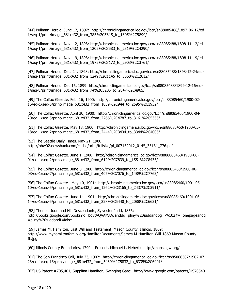[44] Pullman Herald. June 12, 1897: http://chroniclingamerica.loc.gov/lccn/sn88085488/1897-06-12/ed-1/seq-1/print/image\_681x432\_from\_385%2C5315\_to\_1305%2C5899/

[45] Pullman Herald. Nov. 12, 1898: http://chroniclingamerica.loc.gov/lccn/sn88085488/1898-11-12/ed-1/seq-1/print/image\_681x432\_from\_1205%2C3583\_to\_2319%2C4290/

[46] Pullman Herald. Nov. 19, 1898: http://chroniclingamerica.loc.gov/lccn/sn88085488/1898-11-19/ed-1/seq-1/print/image\_681x432\_from\_1975%2C3172\_to\_2903%2C3761/

[47] Pullman Herald. Dec. 24, 1898: http://chroniclingamerica.loc.gov/lccn/sn88085488/1898-12-24/ed-1/seq-1/print/image\_681x432\_from\_1249%2C1145\_to\_3560%2C2612/

[48] Pullman Herald. Dec 16, 1899: http://chroniclingamerica.loc.gov/lccn/sn88085488/1899-12-16/ed-1/seq-8/print/image\_681x432\_from\_74%2C3205\_to\_2847%2C4965/

[49] The Colfax Gazette. Feb. 16, 1900: http://chroniclingamerica.loc.gov/lccn/sn88085460/1900-02- 16/ed-1/seq-5/print/image\_681x432\_from\_1039%2C944\_to\_2595%2C1932/

[50] The Colfax Gazette. April 20, 1900: http://chroniclingamerica.loc.gov/lccn/sn88085460/1900-04- 20/ed-1/seq-5/print/image\_681x432\_from\_2266%2C4787\_to\_3161%2C5355/

[51] The Colfax Gazette. May 18, 1900: http://chroniclingamerica.loc.gov/lccn/sn88085460/1900-05- 18/ed-1/seq-2/print/image\_681x432\_from\_2444%2C3434\_to\_3344%2C4005/

[53] The Seattle Daily Times. May 21, 1900: http://phw02.newsbank.com/cache/arhb/fullsize/pl\_007152012\_0145\_35131\_776.pdf

[54] The Colfax Gazette. June 1, 1900: http://chroniclingamerica.loc.gov/lccn/sn88085460/1900-06- 01/ed-1/seq-2/print/image\_681x432\_from\_612%2C7839\_to\_1551%2C8435/

[55] The Colfax Gazette. June 8, 1900: http://chroniclingamerica.loc.gov/lccn/sn88085460/1900-06- 08/ed-1/seq-7/print/image\_681x432\_from\_407%2C7076\_to\_1489%2C7763/

[56] The Colfax Gazette. May 10, 1901: http://chroniclingamerica.loc.gov/lccn/sn88085460/1901-05- 10/ed-1/seq-5/print/image\_681x432\_from\_1262%2C3165\_to\_2437%2C3911/

[57] The Colfax Gazette. June 14, 1901: http://chroniclingamerica.loc.gov/lccn/sn88085460/1901-06- 14/ed-1/seq-5/print/image\_681x432\_from\_228%2C5440\_to\_2088%2C6621/

[58] Thomas Judd and His Descendants, Sylvester Judd, 1856: http://books.google.com/books?id=bo8tAQAAMAAJanddq=pliny%20juddandpg=PA102#v=onepageandq =pliny%20juddandf=false

[59] James M. Hamilton, Last Will and Testament, Mason County, Illinois, 1869: http://www.myhamiltonfamily.org/HamiltonDocuments/James-M-Hamilton-Will-1869-Mason-County-IL.jpg

[60] Illinois County Boundaries, 1790 – Present, Michael L. Hébert: http://maps.ilgw.org/

[61] The San Francisco Call, July 23, 1902: http://chroniclingamerica.loc.gov/lccn/sn85066387/1902-07- 23/ed-1/seq-13/print/image\_681x432\_from\_5439%2C5832\_to\_6335%2C6401/

[62] US Patent #705,401, Supplina Hamilton, Swinging Gate: http://www.google.com/patents/US705401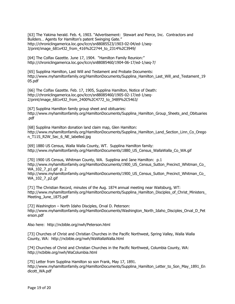[63] The Yakima herald. Feb. 4, 1903. "Advertisement: Stewart and Pierce, Inc. Contractors and Builders… Agents for Hamilton's patent Swinging Gate." http://chroniclingamerica.loc.gov/lccn/sn88085523/1903-02-04/ed-1/seq-3/print/image\_681x432\_from\_416%2C2744\_to\_2314%2C3949/

[64] The Colfax Gazette. June 17, 1904. "Hamilton Family Reunion:" http://chroniclingamerica.loc.gov/lccn/sn88085460/1904-06-17/ed-1/seq-7/

[65] Supplina Hamilton, Last Will and Testament and Probate Documents: http://www.myhamiltonfamily.org/HamiltonDocuments/Supplina Hamilton Last\_Will\_and\_Testament\_19 05.pdf

[66] The Colfax Gazette. Feb. 17, 1905, Supplina Hamilton, Notice of Death: http://chroniclingamerica.loc.gov/lccn/sn88085460/1905-02-17/ed-1/seq-2/print/image\_681x432\_from\_2400%2C4772\_to\_3489%2C5463/

[67] Supplina Hamilton family group sheet and obituaries: http://www.myhamiltonfamily.org/HamiltonDocuments/Supplina Hamilton Group Sheets and Obituaries .pdf

[68] Supplina Hamilton donation land claim map, Glen Hamilton: http://www.myhamiltonfamily.org/HamiltonDocuments/Supplina\_Hamilton\_Land\_Section\_Linn\_Co\_Orego n\_T11S\_R2W\_Sec\_6\_NE\_labelled.jpg

[69] 1880 US Census, Walla Walla County, WT. Supplina Hamilton family: http://www.myhamiltonfamily.org/HamiltonDocuments/1880\_US\_Census\_WallaWalla\_Co\_WA.gif

[70] 1900 US Census, Whitman County, WA. Supplina and Jane Hamilton: p.1 http://www.myhamiltonfamily.org/HamiltonDocuments/1900 US Census Sutton Precinct Whitman Co WA 102 7 p1.gif p. 2

http://www.myhamiltonfamily.org/HamiltonDocuments/1900 US Census Sutton Precinct Whitman Co WA\_102\_7\_p2.gif

[71] The Christian Record, minutes of the Aug. 1874 annual meeting near Waitsburg, WT: http://www.myhamiltonfamily.org/HamiltonDocuments/Supplina\_Hamilton\_Disciples\_of\_Christ\_Ministers\_ Meeting\_June\_1875.pdf

[72] Washington – North Idaho Disciples, Orval D. Peterson: http://www.myhamiltonfamily.org/HamiltonDocuments/Washington\_North\_Idaho\_Disciples\_Orval\_D\_Pet erson.pdf

Also here: http://ncbible.org/nwh/Peterson.html

[73] Churches of Christ and Christian Churches in the Pacific Northwest, Spring Valley, Walla Walla County, WA: http://ncbible.org/nwh/WaWallaWalla.html

[74] Churches of Christ and Christian Churches in the Pacific Northwest, Columbia County, WA: http://ncbible.org/nwh/WaColumbia.html

[75] Letter from Supplina Hamilton so son Frank, May 17, 1891. http://www.myhamiltonfamily.org/HamiltonDocuments/Supplina Hamilton Letter to Son May 1891 En dicott\_WA.pdf